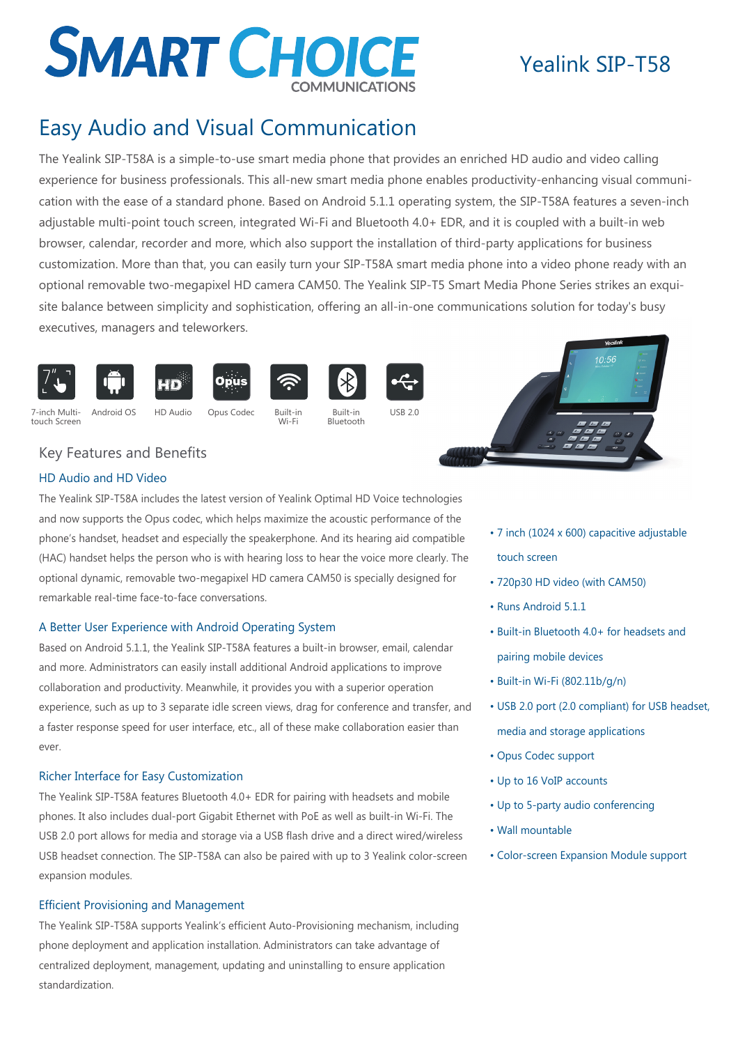# **SMART CHOICE**

# Yealink SIP-T58

# Easy Audio and Visual Communication

The Yealink SIP-T58A is a simple-to-use smart media phone that provides an enriched HD audio and video calling experience for business professionals. This all-new smart media phone enables productivity-enhancing visual communication with the ease of a standard phone. Based on Android 5.1.1 operating system, the SIP-T58A features a seven-inch adjustable multi-point touch screen, integrated Wi-Fi and Bluetooth 4.0+ EDR, and it is coupled with a built-in web browser, calendar, recorder and more, which also support the installation of third-party applications for business customization. More than that, you can easily turn your SIP-T58A smart media phone into a video phone ready with an optional removable two-megapixel HD camera CAM50. The Yealink SIP-T5 Smart Media Phone Series strikes an exquisite balance between simplicity and sophistication, offering an all-in-one communications solution for today's busy executives, managers and teleworkers.



7-inch Multitouch Screen









Opus

Wi-F



Bluetooth



Android OS HD Audio Opus Codec Built-in Built-in USB 2.0



## Key Features and Benefits

#### HD Audio and HD Video

The Yealink SIP-T58A includes the latest version of Yealink Optimal HD Voice technologies and now supports the Opus codec, which helps maximize the acoustic performance of the phone's handset, headset and especially the speakerphone. And its hearing aid compatible (HAC) handset helps the person who is with hearing loss to hear the voice more clearly. The optional dynamic, removable two-megapixel HD camera CAM50 is specially designed for remarkable real-time face-to-face conversations.

#### A Better User Experience with Android Operating System

Based on Android 5.1.1, the Yealink SIP-T58A features a built-in browser, email, calendar and more. Administrators can easily install additional Android applications to improve collaboration and productivity. Meanwhile, it provides you with a superior operation experience, such as up to 3 separate idle screen views, drag for conference and transfer, and a faster response speed for user interface, etc., all of these make collaboration easier than ever.

#### Richer Interface for Easy Customization

The Yealink SIP-T58A features Bluetooth 4.0+ EDR for pairing with headsets and mobile phones. It also includes dual-port Gigabit Ethernet with PoE as well as built-in Wi-Fi. The USB 2.0 port allows for media and storage via a USB flash drive and a direct wired/wireless USB headset connection. The SIP-T58A can also be paired with up to 3 Yealink color-screen expansion modules.

#### Efficient Provisioning and Management

The Yealink SIP-T58A supports Yealink's efficient Auto-Provisioning mechanism, including phone deployment and application installation. Administrators can take advantage of centralized deployment, management, updating and uninstalling to ensure application standardization.

- 7 inch (1024 x 600) capacitive adjustable touch screen
- 720p30 HD video (with CAM50)
- Runs Android 5.1.1
- Built-in Bluetooth 4.0+ for headsets and pairing mobile devices
- Built-in Wi-Fi (802.11b/g/n)
- USB 2.0 port (2.0 compliant) for USB headset, media and storage applications
- Opus Codec support
- Up to 16 VoIP accounts
- Up to 5-party audio conferencing
- Wall mountable
- Color-screen Expansion Module support